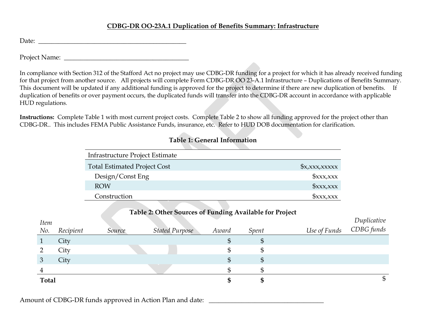## **CDBG-DR OO-23A.1 Duplication of Benefits Summary: Infrastructure**

Date: \_\_\_\_\_\_\_\_\_\_\_\_\_\_\_\_\_\_\_\_\_\_\_\_\_\_\_\_\_\_\_\_\_\_\_\_\_\_\_\_\_\_\_\_\_

Project Name: \_\_\_\_\_\_\_\_\_\_\_\_\_\_\_\_\_\_\_\_\_\_\_\_\_\_\_\_\_\_\_\_\_\_\_\_\_\_

In compliance with Section 312 of the Stafford Act no project may use CDBG-DR funding for a project for which it has already received funding for that project from another source. All projects will complete Form CDBG-DR OO 23-A.1 Infrastructure – Duplications of Benefits Summary. This document will be updated if any additional funding is approved for the project to determine if there are new duplication of benefits. If duplication of benefits or over payment occurs, the duplicated funds will transfer into the CDBG-DR account in accordance with applicable HUD regulations.

**Instructions:** Complete Table 1 with most current project costs. Complete Table 2 to show all funding approved for the project other than CDBG-DR.. This includes FEMA Public Assistance Funds, insurance, etc. Refer to HUD DOB documentation for clarification.

| <b>Infrastructure Project Estimate</b> |                       |
|----------------------------------------|-----------------------|
| Total Estimated Project Cost           | x, x, x, x, x         |
| Design/Const Eng                       | $\frac{1}{2}$ xxx,xxx |
| <b>ROW</b>                             | $\frac{1}{2}$ xxx,xxx |
| Construction                           | $\frac{1}{2}$ xxx,xxx |

## **Table 1: General Information**

| <b>Item</b><br>No. | Recipient | Source | a series and the series of the series of the series of the series of the series of the series of the series of<br><b>Stated Purpose</b> | $\sigma$<br>Award | $\sim$ $\sim$ $\sim$ $\sim$ $\sim$ $\sim$<br>Spent | - - - - -<br>Use of Funds | Duplicative<br>CDBG funds |
|--------------------|-----------|--------|-----------------------------------------------------------------------------------------------------------------------------------------|-------------------|----------------------------------------------------|---------------------------|---------------------------|
|                    | City      |        |                                                                                                                                         | ╜                 | $\mathfrak{p}$                                     |                           |                           |
|                    | City      |        |                                                                                                                                         |                   | ზ                                                  |                           |                           |
|                    | City      |        |                                                                                                                                         |                   | \$                                                 |                           |                           |
|                    |           |        |                                                                                                                                         |                   |                                                    |                           |                           |
| Total              |           |        |                                                                                                                                         |                   | ס                                                  |                           | \$                        |

# **Table 2: Other Sources of Funding Available for Project**

Amount of CDBG-DR funds approved in Action Plan and date: \_\_\_\_\_\_\_\_\_\_\_\_\_\_\_\_\_\_\_\_\_\_